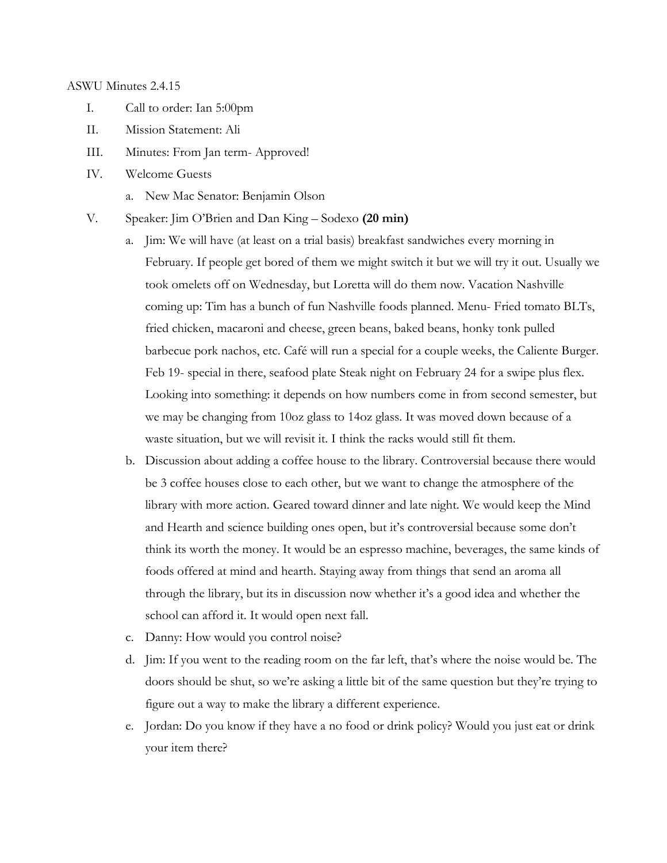#### ASWU Minutes 2.4.15

- I. Call to order: Ian 5:00pm
- II. Mission Statement: Ali
- III. Minutes: From Jan term- Approved!
- IV. Welcome Guests
	- a. New Mac Senator: Benjamin Olson
- V. Speaker: Jim O'Brien and Dan King Sodexo **(20 min)**
	- a. Jim: We will have (at least on a trial basis) breakfast sandwiches every morning in February. If people get bored of them we might switch it but we will try it out. Usually we took omelets off on Wednesday, but Loretta will do them now. Vacation Nashville coming up: Tim has a bunch of fun Nashville foods planned. Menu- Fried tomato BLTs, fried chicken, macaroni and cheese, green beans, baked beans, honky tonk pulled barbecue pork nachos, etc. Café will run a special for a couple weeks, the Caliente Burger. Feb 19- special in there, seafood plate Steak night on February 24 for a swipe plus flex. Looking into something: it depends on how numbers come in from second semester, but we may be changing from 10oz glass to 14oz glass. It was moved down because of a waste situation, but we will revisit it. I think the racks would still fit them.
	- b. Discussion about adding a coffee house to the library. Controversial because there would be 3 coffee houses close to each other, but we want to change the atmosphere of the library with more action. Geared toward dinner and late night. We would keep the Mind and Hearth and science building ones open, but it's controversial because some don't think its worth the money. It would be an espresso machine, beverages, the same kinds of foods offered at mind and hearth. Staying away from things that send an aroma all through the library, but its in discussion now whether it's a good idea and whether the school can afford it. It would open next fall.
	- c. Danny: How would you control noise?
	- d. Jim: If you went to the reading room on the far left, that's where the noise would be. The doors should be shut, so we're asking a little bit of the same question but they're trying to figure out a way to make the library a different experience.
	- e. Jordan: Do you know if they have a no food or drink policy? Would you just eat or drink your item there?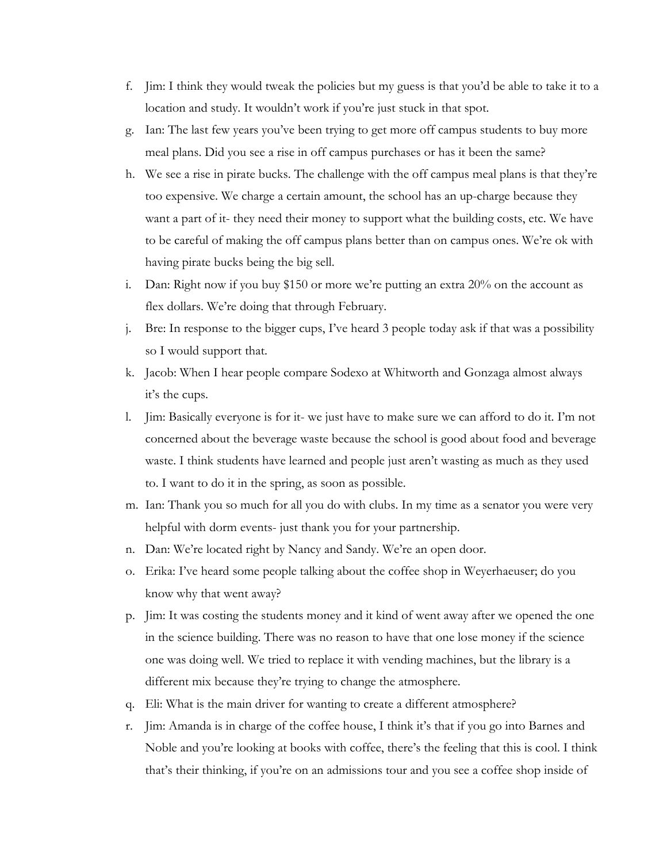- f. Jim: I think they would tweak the policies but my guess is that you'd be able to take it to a location and study. It wouldn't work if you're just stuck in that spot.
- g. Ian: The last few years you've been trying to get more off campus students to buy more meal plans. Did you see a rise in off campus purchases or has it been the same?
- h. We see a rise in pirate bucks. The challenge with the off campus meal plans is that they're too expensive. We charge a certain amount, the school has an up-charge because they want a part of it- they need their money to support what the building costs, etc. We have to be careful of making the off campus plans better than on campus ones. We're ok with having pirate bucks being the big sell.
- i. Dan: Right now if you buy \$150 or more we're putting an extra 20% on the account as flex dollars. We're doing that through February.
- j. Bre: In response to the bigger cups, I've heard 3 people today ask if that was a possibility so I would support that.
- k. Jacob: When I hear people compare Sodexo at Whitworth and Gonzaga almost always it's the cups.
- l. Jim: Basically everyone is for it- we just have to make sure we can afford to do it. I'm not concerned about the beverage waste because the school is good about food and beverage waste. I think students have learned and people just aren't wasting as much as they used to. I want to do it in the spring, as soon as possible.
- m. Ian: Thank you so much for all you do with clubs. In my time as a senator you were very helpful with dorm events- just thank you for your partnership.
- n. Dan: We're located right by Nancy and Sandy. We're an open door.
- o. Erika: I've heard some people talking about the coffee shop in Weyerhaeuser; do you know why that went away?
- p. Jim: It was costing the students money and it kind of went away after we opened the one in the science building. There was no reason to have that one lose money if the science one was doing well. We tried to replace it with vending machines, but the library is a different mix because they're trying to change the atmosphere.
- q. Eli: What is the main driver for wanting to create a different atmosphere?
- r. Jim: Amanda is in charge of the coffee house, I think it's that if you go into Barnes and Noble and you're looking at books with coffee, there's the feeling that this is cool. I think that's their thinking, if you're on an admissions tour and you see a coffee shop inside of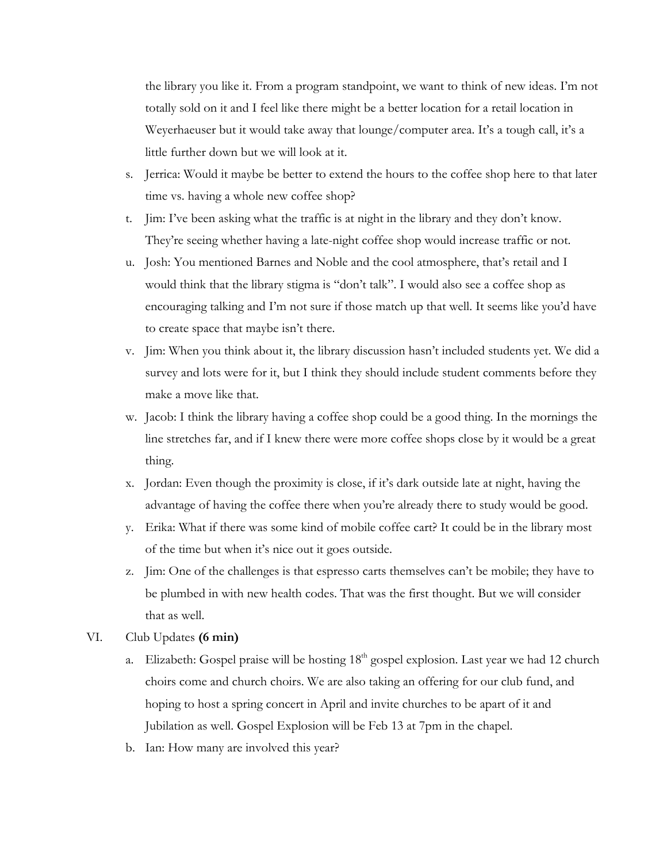the library you like it. From a program standpoint, we want to think of new ideas. I'm not totally sold on it and I feel like there might be a better location for a retail location in Weyerhaeuser but it would take away that lounge/computer area. It's a tough call, it's a little further down but we will look at it.

- s. Jerrica: Would it maybe be better to extend the hours to the coffee shop here to that later time vs. having a whole new coffee shop?
- t. Jim: I've been asking what the traffic is at night in the library and they don't know. They're seeing whether having a late-night coffee shop would increase traffic or not.
- u. Josh: You mentioned Barnes and Noble and the cool atmosphere, that's retail and I would think that the library stigma is "don't talk". I would also see a coffee shop as encouraging talking and I'm not sure if those match up that well. It seems like you'd have to create space that maybe isn't there.
- v. Jim: When you think about it, the library discussion hasn't included students yet. We did a survey and lots were for it, but I think they should include student comments before they make a move like that.
- w. Jacob: I think the library having a coffee shop could be a good thing. In the mornings the line stretches far, and if I knew there were more coffee shops close by it would be a great thing.
- x. Jordan: Even though the proximity is close, if it's dark outside late at night, having the advantage of having the coffee there when you're already there to study would be good.
- y. Erika: What if there was some kind of mobile coffee cart? It could be in the library most of the time but when it's nice out it goes outside.
- z. Jim: One of the challenges is that espresso carts themselves can't be mobile; they have to be plumbed in with new health codes. That was the first thought. But we will consider that as well.
- VI. Club Updates **(6 min)**
	- a. Elizabeth: Gospel praise will be hosting  $18<sup>th</sup>$  gospel explosion. Last year we had 12 church choirs come and church choirs. We are also taking an offering for our club fund, and hoping to host a spring concert in April and invite churches to be apart of it and Jubilation as well. Gospel Explosion will be Feb 13 at 7pm in the chapel.
	- b. Ian: How many are involved this year?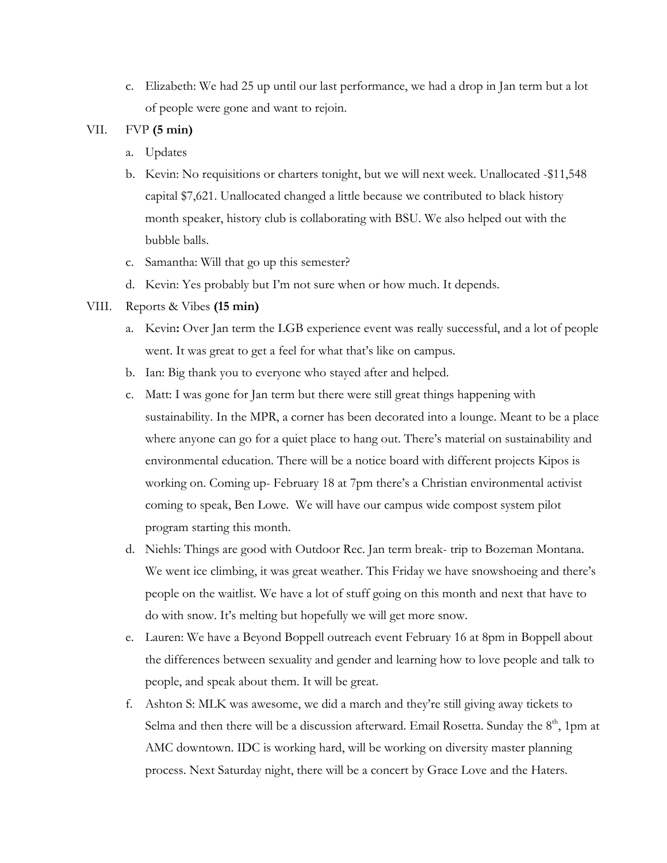c. Elizabeth: We had 25 up until our last performance, we had a drop in Jan term but a lot of people were gone and want to rejoin.

### VII. FVP **(5 min)**

- a. Updates
- b. Kevin: No requisitions or charters tonight, but we will next week. Unallocated -\$11,548 capital \$7,621. Unallocated changed a little because we contributed to black history month speaker, history club is collaborating with BSU. We also helped out with the bubble balls.
- c. Samantha: Will that go up this semester?
- d. Kevin: Yes probably but I'm not sure when or how much. It depends.

### VIII. Reports & Vibes **(15 min)**

- a. Kevin**:** Over Jan term the LGB experience event was really successful, and a lot of people went. It was great to get a feel for what that's like on campus.
- b. Ian: Big thank you to everyone who stayed after and helped.
- c. Matt: I was gone for Jan term but there were still great things happening with sustainability. In the MPR, a corner has been decorated into a lounge. Meant to be a place where anyone can go for a quiet place to hang out. There's material on sustainability and environmental education. There will be a notice board with different projects Kipos is working on. Coming up- February 18 at 7pm there's a Christian environmental activist coming to speak, Ben Lowe. We will have our campus wide compost system pilot program starting this month.
- d. Niehls: Things are good with Outdoor Rec. Jan term break- trip to Bozeman Montana. We went ice climbing, it was great weather. This Friday we have snowshoeing and there's people on the waitlist. We have a lot of stuff going on this month and next that have to do with snow. It's melting but hopefully we will get more snow.
- e. Lauren: We have a Beyond Boppell outreach event February 16 at 8pm in Boppell about the differences between sexuality and gender and learning how to love people and talk to people, and speak about them. It will be great.
- f. Ashton S: MLK was awesome, we did a march and they're still giving away tickets to Selma and then there will be a discussion afterward. Email Rosetta. Sunday the  $8<sup>th</sup>$ , 1pm at AMC downtown. IDC is working hard, will be working on diversity master planning process. Next Saturday night, there will be a concert by Grace Love and the Haters.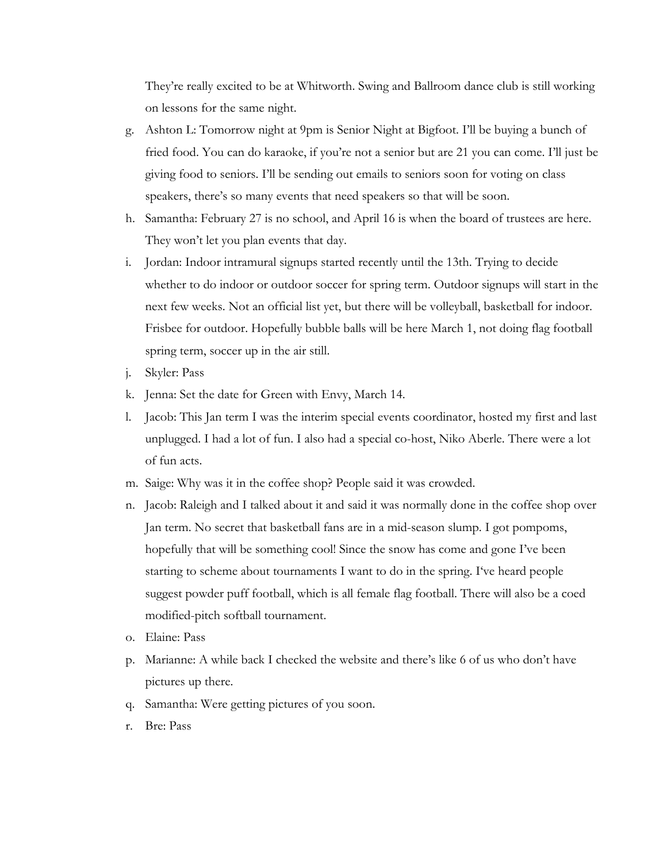They're really excited to be at Whitworth. Swing and Ballroom dance club is still working on lessons for the same night.

- g. Ashton L: Tomorrow night at 9pm is Senior Night at Bigfoot. I'll be buying a bunch of fried food. You can do karaoke, if you're not a senior but are 21 you can come. I'll just be giving food to seniors. I'll be sending out emails to seniors soon for voting on class speakers, there's so many events that need speakers so that will be soon.
- h. Samantha: February 27 is no school, and April 16 is when the board of trustees are here. They won't let you plan events that day.
- i. Jordan: Indoor intramural signups started recently until the 13th. Trying to decide whether to do indoor or outdoor soccer for spring term. Outdoor signups will start in the next few weeks. Not an official list yet, but there will be volleyball, basketball for indoor. Frisbee for outdoor. Hopefully bubble balls will be here March 1, not doing flag football spring term, soccer up in the air still.
- j. Skyler: Pass
- k. Jenna: Set the date for Green with Envy, March 14.
- l. Jacob: This Jan term I was the interim special events coordinator, hosted my first and last unplugged. I had a lot of fun. I also had a special co-host, Niko Aberle. There were a lot of fun acts.
- m. Saige: Why was it in the coffee shop? People said it was crowded.
- n. Jacob: Raleigh and I talked about it and said it was normally done in the coffee shop over Jan term. No secret that basketball fans are in a mid-season slump. I got pompoms, hopefully that will be something cool! Since the snow has come and gone I've been starting to scheme about tournaments I want to do in the spring. I've heard people suggest powder puff football, which is all female flag football. There will also be a coed modified-pitch softball tournament.
- o. Elaine: Pass
- p. Marianne: A while back I checked the website and there's like 6 of us who don't have pictures up there.
- q. Samantha: Were getting pictures of you soon.
- r. Bre: Pass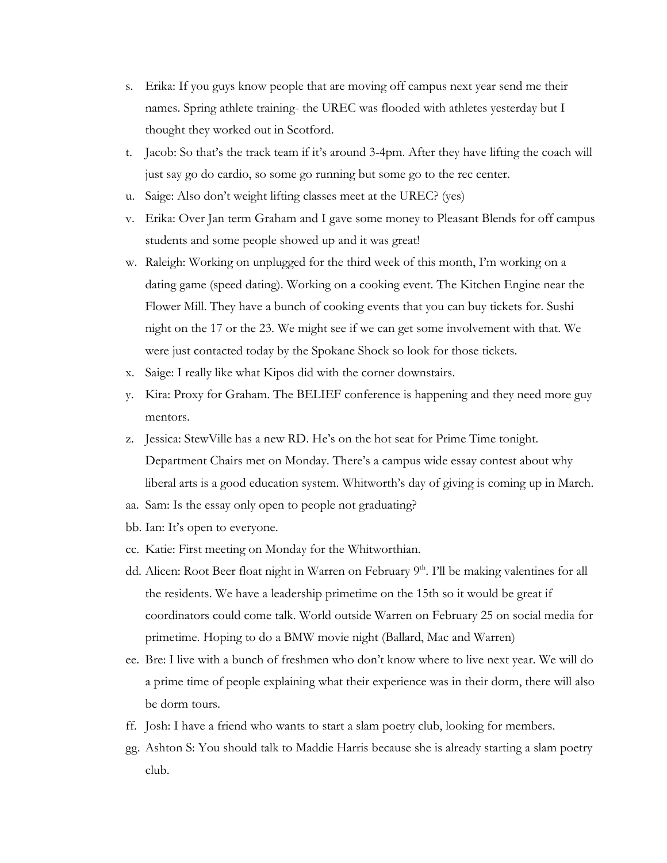- s. Erika: If you guys know people that are moving off campus next year send me their names. Spring athlete training- the UREC was flooded with athletes yesterday but I thought they worked out in Scotford.
- t. Jacob: So that's the track team if it's around 3-4pm. After they have lifting the coach will just say go do cardio, so some go running but some go to the rec center.
- u. Saige: Also don't weight lifting classes meet at the UREC? (yes)
- v. Erika: Over Jan term Graham and I gave some money to Pleasant Blends for off campus students and some people showed up and it was great!
- w. Raleigh: Working on unplugged for the third week of this month, I'm working on a dating game (speed dating). Working on a cooking event. The Kitchen Engine near the Flower Mill. They have a bunch of cooking events that you can buy tickets for. Sushi night on the 17 or the 23. We might see if we can get some involvement with that. We were just contacted today by the Spokane Shock so look for those tickets.
- x. Saige: I really like what Kipos did with the corner downstairs.
- y. Kira: Proxy for Graham. The BELIEF conference is happening and they need more guy mentors.
- z. Jessica: StewVille has a new RD. He's on the hot seat for Prime Time tonight. Department Chairs met on Monday. There's a campus wide essay contest about why liberal arts is a good education system. Whitworth's day of giving is coming up in March.
- aa. Sam: Is the essay only open to people not graduating?
- bb. Ian: It's open to everyone.
- cc. Katie: First meeting on Monday for the Whitworthian.
- dd. Alicen: Root Beer float night in Warren on February 9<sup>th</sup>. I'll be making valentines for all the residents. We have a leadership primetime on the 15th so it would be great if coordinators could come talk. World outside Warren on February 25 on social media for primetime. Hoping to do a BMW movie night (Ballard, Mac and Warren)
- ee. Bre: I live with a bunch of freshmen who don't know where to live next year. We will do a prime time of people explaining what their experience was in their dorm, there will also be dorm tours.
- ff. Josh: I have a friend who wants to start a slam poetry club, looking for members.
- gg. Ashton S: You should talk to Maddie Harris because she is already starting a slam poetry club.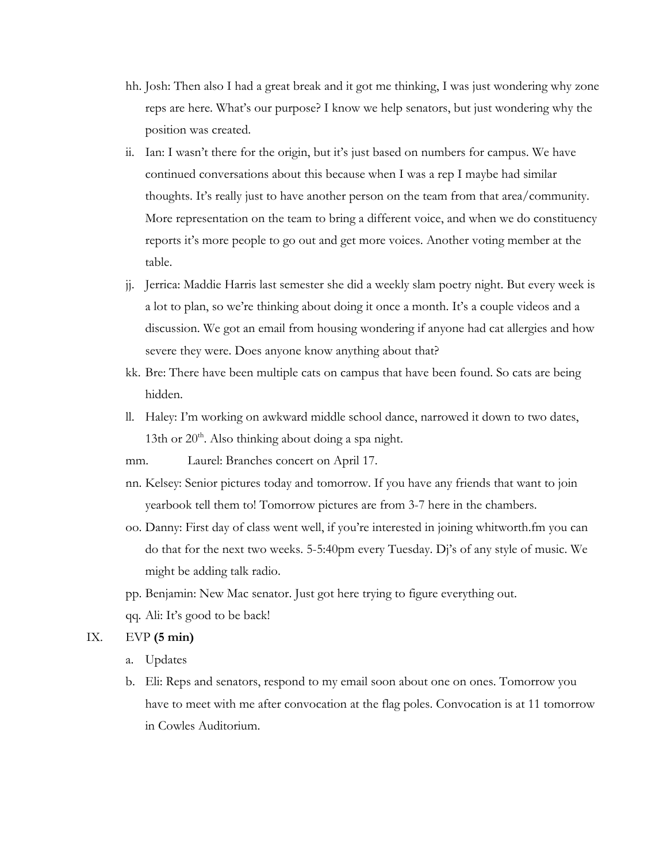- hh. Josh: Then also I had a great break and it got me thinking, I was just wondering why zone reps are here. What's our purpose? I know we help senators, but just wondering why the position was created.
- ii. Ian: I wasn't there for the origin, but it's just based on numbers for campus. We have continued conversations about this because when I was a rep I maybe had similar thoughts. It's really just to have another person on the team from that area/community. More representation on the team to bring a different voice, and when we do constituency reports it's more people to go out and get more voices. Another voting member at the table.
- jj. Jerrica: Maddie Harris last semester she did a weekly slam poetry night. But every week is a lot to plan, so we're thinking about doing it once a month. It's a couple videos and a discussion. We got an email from housing wondering if anyone had cat allergies and how severe they were. Does anyone know anything about that?
- kk. Bre: There have been multiple cats on campus that have been found. So cats are being hidden.
- ll. Haley: I'm working on awkward middle school dance, narrowed it down to two dates, 13th or  $20<sup>th</sup>$ . Also thinking about doing a spa night.
- mm. Laurel: Branches concert on April 17.
- nn. Kelsey: Senior pictures today and tomorrow. If you have any friends that want to join yearbook tell them to! Tomorrow pictures are from 3-7 here in the chambers.
- oo. Danny: First day of class went well, if you're interested in joining whitworth.fm you can do that for the next two weeks. 5-5:40pm every Tuesday. Dj's of any style of music. We might be adding talk radio.
- pp. Benjamin: New Mac senator. Just got here trying to figure everything out.
- qq. Ali: It's good to be back!

# IX. EVP **(5 min)**

- a. Updates
- b. Eli: Reps and senators, respond to my email soon about one on ones. Tomorrow you have to meet with me after convocation at the flag poles. Convocation is at 11 tomorrow in Cowles Auditorium.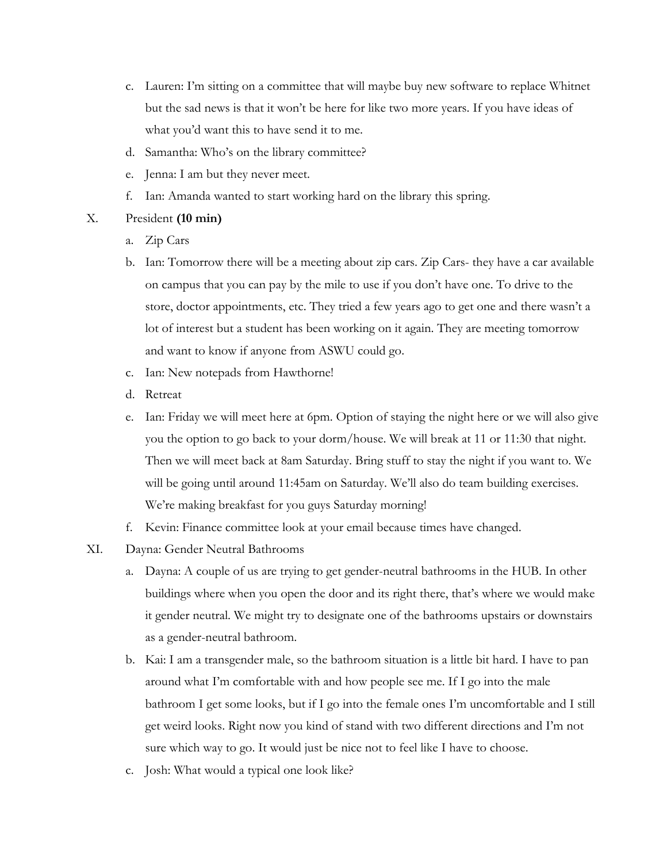- c. Lauren: I'm sitting on a committee that will maybe buy new software to replace Whitnet but the sad news is that it won't be here for like two more years. If you have ideas of what you'd want this to have send it to me.
- d. Samantha: Who's on the library committee?
- e. Jenna: I am but they never meet.
- f. Ian: Amanda wanted to start working hard on the library this spring.

# X. President **(10 min)**

- a. Zip Cars
- b. Ian: Tomorrow there will be a meeting about zip cars. Zip Cars- they have a car available on campus that you can pay by the mile to use if you don't have one. To drive to the store, doctor appointments, etc. They tried a few years ago to get one and there wasn't a lot of interest but a student has been working on it again. They are meeting tomorrow and want to know if anyone from ASWU could go.
- c. Ian: New notepads from Hawthorne!
- d. Retreat
- e. Ian: Friday we will meet here at 6pm. Option of staying the night here or we will also give you the option to go back to your dorm/house. We will break at 11 or 11:30 that night. Then we will meet back at 8am Saturday. Bring stuff to stay the night if you want to. We will be going until around 11:45am on Saturday. We'll also do team building exercises. We're making breakfast for you guys Saturday morning!
- f. Kevin: Finance committee look at your email because times have changed.
- XI. Dayna: Gender Neutral Bathrooms
	- a. Dayna: A couple of us are trying to get gender-neutral bathrooms in the HUB. In other buildings where when you open the door and its right there, that's where we would make it gender neutral. We might try to designate one of the bathrooms upstairs or downstairs as a gender-neutral bathroom.
	- b. Kai: I am a transgender male, so the bathroom situation is a little bit hard. I have to pan around what I'm comfortable with and how people see me. If I go into the male bathroom I get some looks, but if I go into the female ones I'm uncomfortable and I still get weird looks. Right now you kind of stand with two different directions and I'm not sure which way to go. It would just be nice not to feel like I have to choose.
	- c. Josh: What would a typical one look like?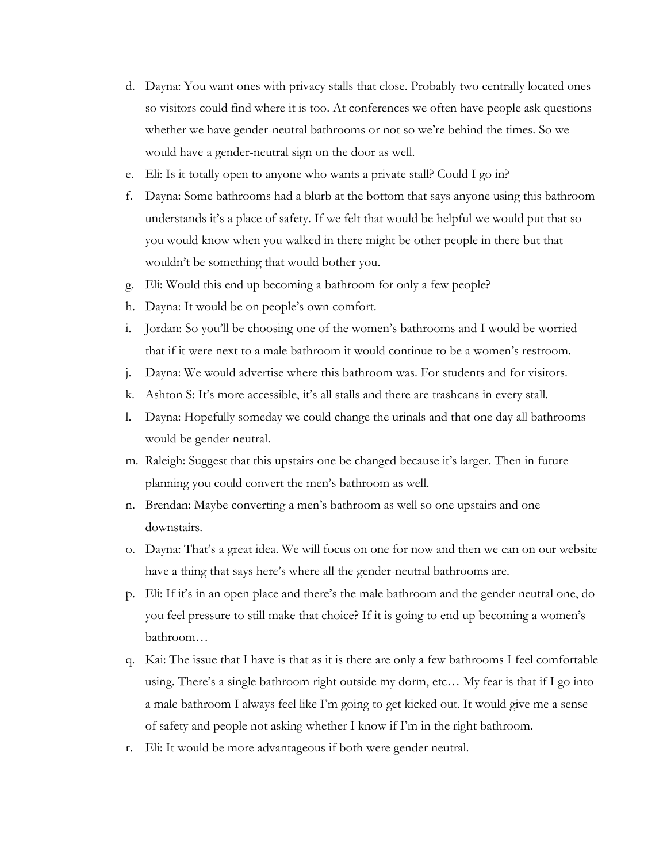- d. Dayna: You want ones with privacy stalls that close. Probably two centrally located ones so visitors could find where it is too. At conferences we often have people ask questions whether we have gender-neutral bathrooms or not so we're behind the times. So we would have a gender-neutral sign on the door as well.
- e. Eli: Is it totally open to anyone who wants a private stall? Could I go in?
- f. Dayna: Some bathrooms had a blurb at the bottom that says anyone using this bathroom understands it's a place of safety. If we felt that would be helpful we would put that so you would know when you walked in there might be other people in there but that wouldn't be something that would bother you.
- g. Eli: Would this end up becoming a bathroom for only a few people?
- h. Dayna: It would be on people's own comfort.
- i. Jordan: So you'll be choosing one of the women's bathrooms and I would be worried that if it were next to a male bathroom it would continue to be a women's restroom.
- j. Dayna: We would advertise where this bathroom was. For students and for visitors.
- k. Ashton S: It's more accessible, it's all stalls and there are trashcans in every stall.
- l. Dayna: Hopefully someday we could change the urinals and that one day all bathrooms would be gender neutral.
- m. Raleigh: Suggest that this upstairs one be changed because it's larger. Then in future planning you could convert the men's bathroom as well.
- n. Brendan: Maybe converting a men's bathroom as well so one upstairs and one downstairs.
- o. Dayna: That's a great idea. We will focus on one for now and then we can on our website have a thing that says here's where all the gender-neutral bathrooms are.
- p. Eli: If it's in an open place and there's the male bathroom and the gender neutral one, do you feel pressure to still make that choice? If it is going to end up becoming a women's bathroom…
- q. Kai: The issue that I have is that as it is there are only a few bathrooms I feel comfortable using. There's a single bathroom right outside my dorm, etc… My fear is that if I go into a male bathroom I always feel like I'm going to get kicked out. It would give me a sense of safety and people not asking whether I know if I'm in the right bathroom.
- r. Eli: It would be more advantageous if both were gender neutral.